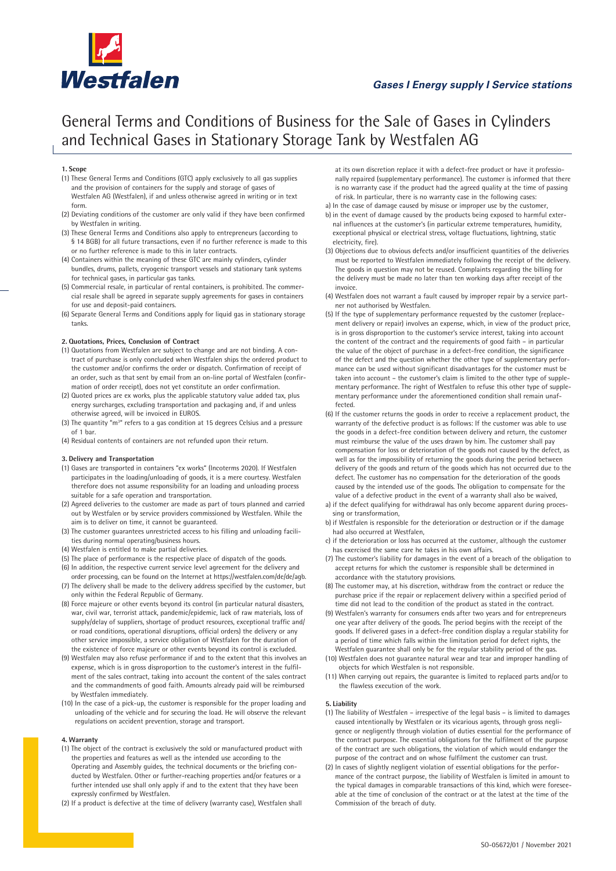

# **Gases I Energy supply I Service stations**

# General Terms and Conditions of Business for the Sale of Gases in Cylinders and Technical Gases in Stationary Storage Tank by Westfalen AG

## **1. Scope**

- (1) These General Terms and Conditions (GTC) apply exclusively to all gas supplies and the provision of containers for the supply and storage of gases of Westfalen AG (Westfalen), if and unless otherwise agreed in writing or in text form.
- (2) Deviating conditions of the customer are only valid if they have been confirmed by Westfalen in writing.
- (3) These General Terms and Conditions also apply to entrepreneurs (according to § 14 BGB) for all future transactions, even if no further reference is made to this or no further reference is made to this in later contracts.
- (4) Containers within the meaning of these GTC are mainly cylinders, cylinder bundles, drums, pallets, cryogenic transport vessels and stationary tank systems for technical gases, in particular gas tanks.
- (5) Commercial resale, in particular of rental containers, is prohibited. The commercial resale shall be agreed in separate supply agreements for gases in containers for use and deposit-paid containers.
- (6) Separate General Terms and Conditions apply for liquid gas in stationary storage tanks.

## **2. Quotations, Prices, Conclusion of Contract**

- (1) Quotations from Westfalen are subject to change and are not binding. A contract of purchase is only concluded when Westfalen ships the ordered product to the customer and/or confirms the order or dispatch. Confirmation of receipt of an order, such as that sent by email from an on-line portal of Westfalen (confirmation of order receipt), does not yet constitute an order confirmation.
- (2) Quoted prices are ex works, plus the applicable statutory value added tax, plus energy surcharges, excluding transportation and packaging and, if and unless otherwise agreed, will be invoiced in EUROS.
- (3) The quantity "m<sup>3</sup>" refers to a gas condition at 15 degrees Celsius and a pressure of 1 bar.
- (4) Residual contents of containers are not refunded upon their return.

#### **3. Delivery and Transportation**

- (1) Gases are transported in containers "ex works" (Incoterms 2020). If Westfalen participates in the loading/unloading of goods, it is a mere courtesy. Westfalen therefore does not assume responsibility for an loading and unloading process suitable for a safe operation and transportation.
- (2) Agreed deliveries to the customer are made as part of tours planned and carried out by Westfalen or by service providers commissioned by Westfalen. While the aim is to deliver on time, it cannot be guaranteed.
- (3) The customer guarantees unrestricted access to his filling and unloading facilities during normal operating/business hours.
- (4) Westfalen is entitled to make partial deliveries.
- (5) The place of performance is the respective place of dispatch of the goods.
- (6) In addition, the respective current service level agreement for the delivery and order processing, can be found on the Internet at https://westfalen.com/de/de/agb.
- (7) The delivery shall be made to the delivery address specified by the customer, but only within the Federal Republic of Germany.
- (8) Force majeure or other events beyond its control (in particular natural disasters, war, civil war, terrorist attack, pandemic/epidemic, lack of raw materials, loss of supply/delay of suppliers, shortage of product resources, exceptional traffic and/ or road conditions, operational disruptions, official orders) the delivery or any other service impossible, a service obligation of Westfalen for the duration of the existence of force majeure or other events beyond its control is excluded.
- (9) Westfalen may also refuse performance if and to the extent that this involves an expense, which is in gross disproportion to the customer's interest in the fulfilment of the sales contract, taking into account the content of the sales contract and the commandments of good faith. Amounts already paid will be reimbursed by Westfalen immediately.
- (10) In the case of a pick-up, the customer is responsible for the proper loading and unloading of the vehicle and for securing the load. He will observe the relevant regulations on accident prevention, storage and transport.

#### **4. Warranty**

- (1) The object of the contract is exclusively the sold or manufactured product with the properties and features as well as the intended use according to the Operating and Assembly guides, the technical documents or the briefing conducted by Westfalen. Other or further-reaching properties and/or features or a further intended use shall only apply if and to the extent that they have been expressly confirmed by Westfalen.
- (2) If a product is defective at the time of delivery (warranty case), Westfalen shall

at its own discretion replace it with a defect-free product or have it professionally repaired (supplementary performance). The customer is informed that there is no warranty case if the product had the agreed quality at the time of passing of risk. In particular, there is no warranty case in the following cases:

- a) In the case of damage caused by misuse or improper use by the customer, b) in the event of damage caused by the products being exposed to harmful external influences at the customer's (in particular extreme temperatures, humidity, exceptional physical or electrical stress, voltage fluctuations, lightning, static electricity, fire).
- (3) Objections due to obvious defects and/or insufficient quantities of the deliveries must be reported to Westfalen immediately following the receipt of the delivery. The goods in question may not be reused. Complaints regarding the billing for the delivery must be made no later than ten working days after receipt of the invoice.
- (4) Westfalen does not warrant a fault caused by improper repair by a service partner not authorised by Westfalen.
- (5) If the type of supplementary performance requested by the customer (replacement delivery or repair) involves an expense, which, in view of the product price, is in gross disproportion to the customer's service interest, taking into account the content of the contract and the requirements of good faith – in particular the value of the object of purchase in a defect-free condition, the significance of the defect and the question whether the other type of supplementary performance can be used without significant disadvantages for the customer must be taken into account – the customer's claim is limited to the other type of supplementary performance. The right of Westfalen to refuse this other type of supplementary performance under the aforementioned condition shall remain unaffected.
- (6) If the customer returns the goods in order to receive a replacement product, the warranty of the defective product is as follows: If the customer was able to use the goods in a defect-free condition between delivery and return, the customer must reimburse the value of the uses drawn by him. The customer shall pay compensation for loss or deterioration of the goods not caused by the defect, as well as for the impossibility of returning the goods during the period between delivery of the goods and return of the goods which has not occurred due to the defect. The customer has no compensation for the deterioration of the goods caused by the intended use of the goods. The obligation to compensate for the value of a defective product in the event of a warranty shall also be waived,
- a) if the defect qualifying for withdrawal has only become apparent during processing or transformation,
- b) if Westfalen is responsible for the deterioration or destruction or if the damage had also occurred at Westfalen,
- c) if the deterioration or loss has occurred at the customer, although the customer has exercised the same care he takes in his own affairs.
- (7) The customer's liability for damages in the event of a breach of the obligation to accept returns for which the customer is responsible shall be determined in accordance with the statutory provisions.
- (8) The customer may, at his discretion, withdraw from the contract or reduce the purchase price if the repair or replacement delivery within a specified period of time did not lead to the condition of the product as stated in the contract.
- (9) Westfalen's warranty for consumers ends after two years and for entrepreneurs one year after delivery of the goods. The period begins with the receipt of the goods. If delivered gases in a defect-free condition display a regular stability for a period of time which falls within the limitation period for defect rights, the Westfalen guarantee shall only be for the regular stability period of the gas.
- (10) Westfalen does not guarantee natural wear and tear and improper handling of objects for which Westfalen is not responsible.
- (11) When carrying out repairs, the guarantee is limited to replaced parts and/or to the flawless execution of the work.

#### **5. Liability**

- (1) The liability of Westfalen irrespective of the legal basis is limited to damages caused intentionally by Westfalen or its vicarious agents, through gross negligence or negligently through violation of duties essential for the performance of the contract purpose. The essential obligations for the fulfilment of the purpose of the contract are such obligations, the violation of which would endanger the purpose of the contract and on whose fulfilment the customer can trust.
- (2) In cases of slightly negligent violation of essential obligations for the performance of the contract purpose, the liability of Westfalen is limited in amount to the typical damages in comparable transactions of this kind, which were foreseeable at the time of conclusion of the contract or at the latest at the time of the Commission of the breach of duty.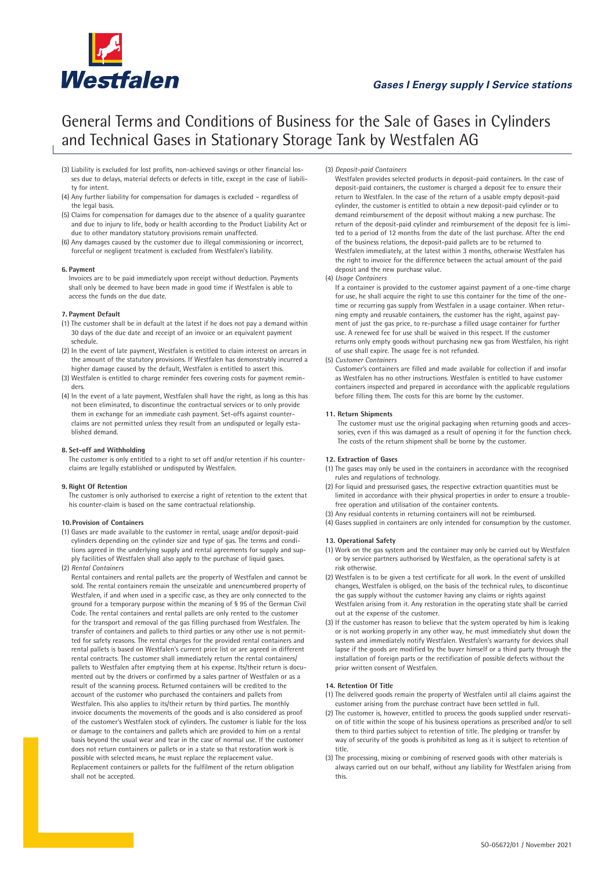

# **Gases I Energy supply I Service stations**

# General Terms and Conditions of Business for the Sale of Gases in Cylinders and Technical Gases in Stationary Storage Tank by Westfalen AG

- (3) Liability is excluded for lost profits, non-achieved savings or other financial losses due to delays, material defects or defects in title, except in the case of liability for intent.
- (4) Any further liability for compensation for damages is excluded regardless of the legal basis.
- (5) Claims for compensation for damages due to the absence of a quality guarantee and due to injury to life, body or health according to the Product Liability Act or due to other mandatory statutory provisions remain unaffected.
- (6) Any damages caused by the customer due to illegal commissioning or incorrect, forceful or negligent treatment is excluded from Westfalen's liability.

#### **6. Payment**

 Invoices are to be paid immediately upon receipt without deduction. Payments shall only be deemed to have been made in good time if Westfalen is able to access the funds on the due date.

#### **7. Payment Default**

- (1) The customer shall be in default at the latest if he does not pay a demand within 30 days of the due date and receipt of an invoice or an equivalent payment schedule.
- (2) In the event of late payment, Westfalen is entitled to claim interest on arrears in the amount of the statutory provisions. If Westfalen has demonstrably incurred a higher damage caused by the default, Westfalen is entitled to assert this.
- (3) Westfalen is entitled to charge reminder fees covering costs for payment reminders.
- (4) In the event of a late payment, Westfalen shall have the right, as long as this has not been eliminated, to discontinue the contractual services or to only provide them in exchange for an immediate cash payment. Set-offs against counterclaims are not permitted unless they result from an undisputed or legally established demand.

### **8. Set-off and Withholding**

 The customer is only entitled to a right to set off and/or retention if his counterclaims are legally established or undisputed by Westfalen.

#### **9. Right Of Retention**

 The customer is only authorised to exercise a right of retention to the extent that his counter-claim is based on the same contractual relationship.

#### **10. Provision of Containers**

(1) Gases are made available to the customer in rental, usage and/or deposit-paid cylinders depending on the cylinder size and type of gas. The terms and conditions agreed in the underlying supply and rental agreements for supply and supply facilities of Westfalen shall also apply to the purchase of liquid gases.

#### (2) *Rental Containers*

Rental containers and rental pallets are the property of Westfalen and cannot be sold. The rental containers remain the unseizable and unencumbered property of Westfalen, if and when used in a specific case, as they are only connected to the ground for a temporary purpose within the meaning of § 95 of the German Civil Code. The rental containers and rental pallets are only rented to the customer for the transport and removal of the gas filling purchased from Westfalen. The transfer of containers and pallets to third parties or any other use is not permitted for safety reasons. The rental charges for the provided rental containers and rental pallets is based on Westfalen's current price list or are agreed in different rental contracts. The customer shall immediately return the rental containers/ pallets to Westfalen after emptying them at his expense. Its/their return is documented out by the drivers or confirmed by a sales partner of Westfalen or as a result of the scanning process. Returned containers will be credited to the account of the customer who purchased the containers and pallets from Westfalen. This also applies to its/their return by third parties. The monthly invoice documents the movements of the goods and is also considered as proof of the customer's Westfalen stock of cylinders. The customer is liable for the loss or damage to the containers and pallets which are provided to him on a rental basis beyond the usual wear and tear in the case of normal use. If the customer does not return containers or pallets or in a state so that restoration work is possible with selected means, he must replace the replacement value. Replacement containers or pallets for the fulfilment of the return obligation shall not be accepted.

(3) *Deposit-paid Containers*

Westfalen provides selected products in deposit-paid containers. In the case of deposit-paid containers, the customer is charged a deposit fee to ensure their return to Westfalen. In the case of the return of a usable empty deposit-paid cylinder, the customer is entitled to obtain a new deposit-paid cylinder or to demand reimbursement of the deposit without making a new purchase. The return of the deposit-paid cylinder and reimbursement of the deposit fee is limited to a period of 12 months from the date of the last purchase. After the end of the business relations, the deposit-paid pallets are to be returned to Westfalen immediately, at the latest within 3 months, otherwise Westfalen has the right to invoice for the difference between the actual amount of the paid deposit and the new purchase value.

#### (4) *Usage Containers*

If a container is provided to the customer against payment of a one-time charge for use, he shall acquire the right to use this container for the time of the onetime or recurring gas supply from Westfalen in a usage container. When returning empty and reusable containers, the customer has the right, against payment of just the gas price, to re-purchase a filled usage container for further use. A renewed fee for use shall be waived in this respect. If the customer returns only empty goods without purchasing new gas from Westfalen, his right of use shall expire. The usage fee is not refunded.

#### (5) *Customer Containers*

Customer's containers are filled and made available for collection if and insofar as Westfalen has no other instructions. Westfalen is entitled to have customer containers inspected and prepared in accordance with the applicable regulations before filling them. The costs for this are borne by the customer.

#### **11. Return Shipments**

The customer must use the original packaging when returning goods and accessories, even if this was damaged as a result of opening it for the function check. The costs of the return shipment shall be borne by the customer.

#### **12. Extraction of Gases**

- (1) The gases may only be used in the containers in accordance with the recognised rules and regulations of technology.
- (2) For liquid and pressurised gases, the respective extraction quantities must be limited in accordance with their physical properties in order to ensure a troublefree operation and utilisation of the container contents.
- (3) Any residual contents in returning containers will not be reimbursed.
- (4) Gases supplied in containers are only intended for consumption by the customer.

#### **13. Operational Safety**

- (1) Work on the gas system and the container may only be carried out by Westfalen or by service partners authorised by Westfalen, as the operational safety is at risk otherwise.
- (2) Westfalen is to be given a test certificate for all work. In the event of unskilled changes, Westfalen is obliged, on the basis of the technical rules, to discontinue the gas supply without the customer having any claims or rights against Westfalen arising from it. Any restoration in the operating state shall be carried out at the expense of the customer.
- (3) If the customer has reason to believe that the system operated by him is leaking or is not working properly in any other way, he must immediately shut down the system and immediately notify Westfalen. Westfalen's warranty for devices shall lapse if the goods are modified by the buyer himself or a third party through the installation of foreign parts or the rectification of possible defects without the prior written consent of Westfalen.

### **14. Retention Of Title**

- (1) The delivered goods remain the property of Westfalen until all claims against the customer arising from the purchase contract have been settled in full.
- (2) The customer is, however, entitled to process the goods supplied under reservation of title within the scope of his business operations as prescribed and/or to sell them to third parties subject to retention of title. The pledging or transfer by way of security of the goods is prohibited as long as it is subject to retention of title.
- (3) The processing, mixing or combining of reserved goods with other materials is always carried out on our behalf, without any liability for Westfalen arising from this.